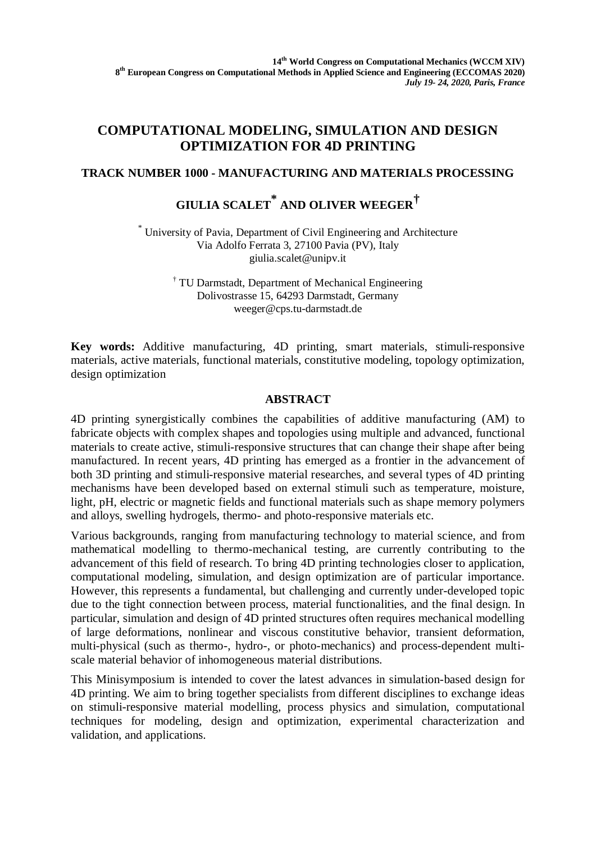## **COMPUTATIONAL MODELING, SIMULATION AND DESIGN OPTIMIZATION FOR 4D PRINTING**

### **TRACK NUMBER 1000 - MANUFACTURING AND MATERIALS PROCESSING**

# **GIULIA SCALET \* AND OLIVER WEEGER†**

\* University of Pavia, Department of Civil Engineering and Architecture Via Adolfo Ferrata 3, 27100 Pavia (PV), Italy giulia.scalet@unipv.it

> † TU Darmstadt, Department of Mechanical Engineering Dolivostrasse 15, 64293 Darmstadt, Germany weeger@cps.tu-darmstadt.de

**Key words:** Additive manufacturing, 4D printing, smart materials, stimuli-responsive materials, active materials, functional materials, constitutive modeling, topology optimization, design optimization

### **ABSTRACT**

4D printing synergistically combines the capabilities of additive manufacturing (AM) to fabricate objects with complex shapes and topologies using multiple and advanced, functional materials to create active, stimuli-responsive structures that can change their shape after being manufactured. In recent years, 4D printing has emerged as a frontier in the advancement of both 3D printing and stimuli-responsive material researches, and several types of 4D printing mechanisms have been developed based on external stimuli such as temperature, moisture, light, pH, electric or magnetic fields and functional materials such as shape memory polymers and alloys, swelling hydrogels, thermo- and photo-responsive materials etc.

Various backgrounds, ranging from manufacturing technology to material science, and from mathematical modelling to thermo-mechanical testing, are currently contributing to the advancement of this field of research. To bring 4D printing technologies closer to application, computational modeling, simulation, and design optimization are of particular importance. However, this represents a fundamental, but challenging and currently under-developed topic due to the tight connection between process, material functionalities, and the final design. In particular, simulation and design of 4D printed structures often requires mechanical modelling of large deformations, nonlinear and viscous constitutive behavior, transient deformation, multi-physical (such as thermo-, hydro-, or photo-mechanics) and process-dependent multiscale material behavior of inhomogeneous material distributions.

This Minisymposium is intended to cover the latest advances in simulation-based design for 4D printing. We aim to bring together specialists from different disciplines to exchange ideas on stimuli-responsive material modelling, process physics and simulation, computational techniques for modeling, design and optimization, experimental characterization and validation, and applications.